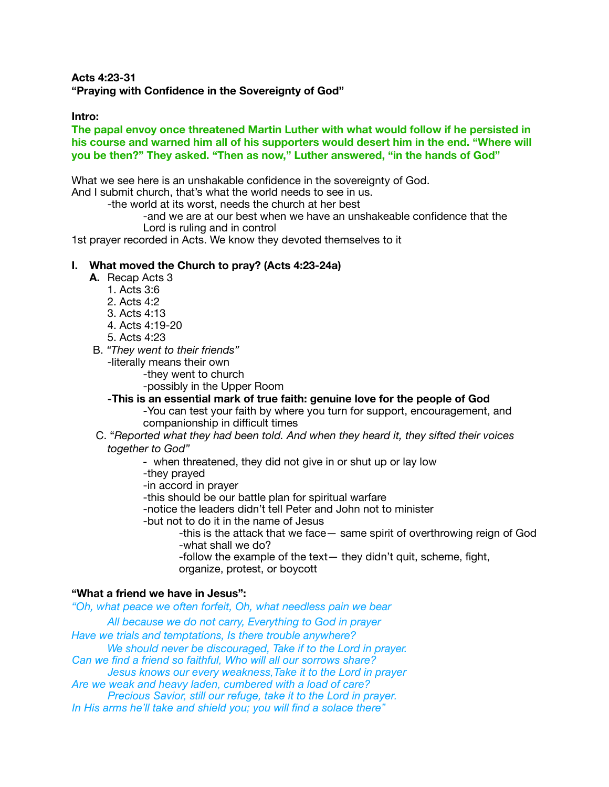### **Acts 4:23-31 "Praying with Confidence in the Sovereignty of God"**

**Intro:** 

### **The papal envoy once threatened Martin Luther with what would follow if he persisted in his course and warned him all of his supporters would desert him in the end. "Where will you be then?" They asked. "Then as now," Luther answered, "in the hands of God"**

What we see here is an unshakable confidence in the sovereignty of God.

And I submit church, that's what the world needs to see in us.

-the world at its worst, needs the church at her best

 -and we are at our best when we have an unshakeable confidence that the Lord is ruling and in control

1st prayer recorded in Acts. We know they devoted themselves to it

# **I. What moved the Church to pray? (Acts 4:23-24a)**

- **A.** Recap Acts 3
	- 1. Acts 3:6
	- 2. Acts 4:2
	- 3. Acts 4:13
	- 4. Acts 4:19-20
	- 5. Acts 4:23
- B. *"They went to their friends"* 
	- -literally means their own
		- -they went to church
		- -possibly in the Upper Room
	- **-This is an essential mark of true faith: genuine love for the people of God**

 -You can test your faith by where you turn for support, encouragement, and companionship in difficult times

C. "*Reported what they had been told. And when they heard it, they sifted their voices together to God"* 

- when threatened, they did not give in or shut up or lay low

- -they prayed
- -in accord in prayer

 -this should be our battle plan for spiritual warfare

 -notice the leaders didn't tell Peter and John not to minister

 -but not to do it in the name of Jesus

 -this is the attack that we face— same spirit of overthrowing reign of God -what shall we do?

 -follow the example of the text— they didn't quit, scheme, fight, organize, protest, or boycott

# **"What a friend we have in Jesus":**

*"Oh, what peace we often forfeit, Oh, what needless pain we bear All because we do not carry, Everything to God in prayer Have we trials and temptations, Is there trouble anywhere? We should never be discouraged, Take if to the Lord in prayer. Can we find a friend so faithful, Who will all our sorrows share? Jesus knows our every weakness,Take it to the Lord in prayer Are we weak and heavy laden, cumbered with a load of care? Precious Savior, still our refuge, take it to the Lord in prayer. In His arms he'll take and shield you; you will find a solace there"*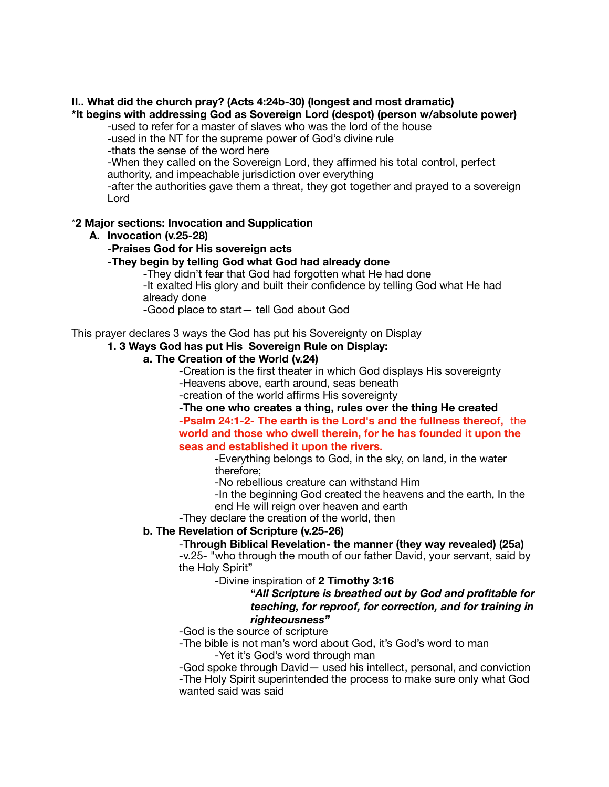### **II.. What did the church pray? (Acts 4:24b-30) (longest and most dramatic)**

**\*It begins with addressing God as Sovereign Lord (despot) (person w/absolute power)**

-used to refer for a master of slaves who was the lord of the house

-used in the NT for the supreme power of God's divine rule

-thats the sense of the word here

-When they called on the Sovereign Lord, they affirmed his total control, perfect authority, and impeachable jurisdiction over everything

-after the authorities gave them a threat, they got together and prayed to a sovereign Lord

### \***2 Major sections: Invocation and Supplication**

**A. Invocation (v.25-28)** 

# **-Praises God for His sovereign acts**

**-They begin by telling God what God had already done**

 -They didn't fear that God had forgotten what He had done

 -It exalted His glory and built their confidence by telling God what He had already done

 -Good place to start— tell God about God

This prayer declares 3 ways the God has put his Sovereignty on Display

# **1. 3 Ways God has put His Sovereign Rule on Display:**

# **a. The Creation of the World (v.24)**

 -Creation is the first theater in which God displays His sovereignty -Heavens above, earth around, seas beneath

 -creation of the world affirms His sovereignty

#### -**The one who creates a thing, rules over the thing He created** -**Psalm 24:1-2- The earth is the Lord's and the fullness thereof,** the **world and those who dwell therein, for he has founded it upon the seas and established it upon the rivers.**

 -Everything belongs to God, in the sky, on land, in the water therefore;

-No rebellious creature can withstand Him

-In the beginning God created the heavens and the earth, In the 

end He will reign over heaven and earth

 -They declare the creation of the world, then

# **b. The Revelation of Scripture (v.25-26)**

 -**Through Biblical Revelation- the manner (they way revealed) (25a)**

 -v.25- "who through the mouth of our father David, your servant, said by the Holy Spirit"

 -Divine inspiration of **2 Timothy 3:16** 

### **"***All Scripture is breathed out by God and profitable for teaching, for reproof, for correction, and for training in righteousness"*

 -God is the source of scripture

 -The bible is not man's word about God, it's God's word to man -Yet it's God's word through man

 -God spoke through David— used his intellect, personal, and conviction -The Holy Spirit superintended the process to make sure only what God wanted said was said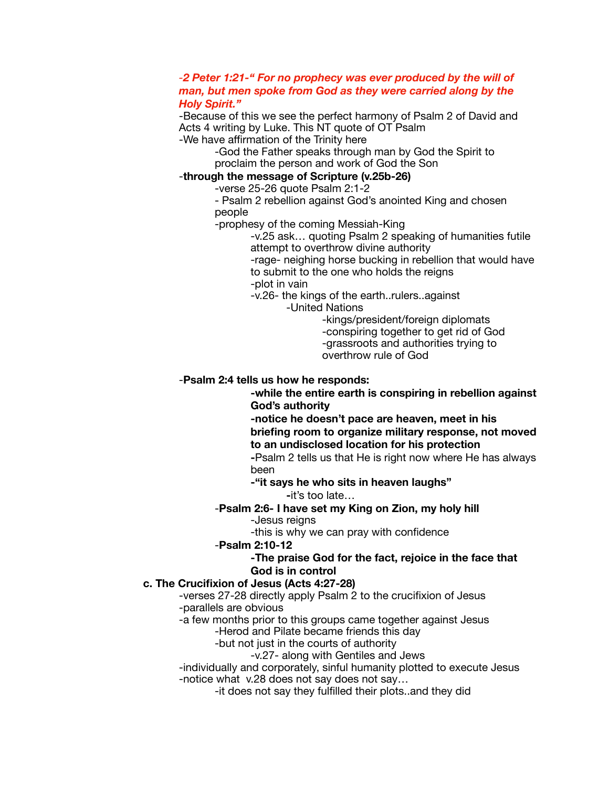#### *-2 Peter 1:21-" For no prophecy was ever produced by the will of man, but men spoke from God as they were carried along by the Holy Spirit."*

 -Because of this we see the perfect harmony of Psalm 2 of David and Acts 4 writing by Luke. This NT quote of OT Psalm

 -We have affirmation of the Trinity here

 -God the Father speaks through man by God the Spirit to proclaim the person and work of God the Son

### -**through the message of Scripture (v.25b-26)**

 -verse 25-26 quote Psalm 2:1-2

- Psalm 2 rebellion against God's anointed King and chosen people

-prophesy of the coming Messiah-King

 -v.25 ask… quoting Psalm 2 speaking of humanities futile attempt to overthrow divine authority

-rage- neighing horse bucking in rebellion that would have to submit to the one who holds the reigns

-plot in vain

-v.26- the kings of the earth..rulers..against

 -United Nations

 -kings/president/foreign diplomats

-conspiring together to get rid of God -grassroots and authorities trying to 

overthrow rule of God

### -**Psalm 2:4 tells us how he responds:**

**-while the entire earth is conspiring in rebellion against God's authority** 

**-notice he doesn't pace are heaven, meet in his briefing room to organize military response, not moved to an undisclosed location for his protection** 

**-**Psalm 2 tells us that He is right now where He has always been

**-"it says he who sits in heaven laughs"** 

**-**it's too late…

### -**Psalm 2:6- I have set my King on Zion, my holy hill**

 -Jesus reigns

-this is why we can pray with confidence

### -**Psalm 2:10-12**

**-The praise God for the fact, rejoice in the face that God is in control**

### **c. The Crucifixion of Jesus (Acts 4:27-28)**

 -verses 27-28 directly apply Psalm 2 to the crucifixion of Jesus -parallels are obvious

 -a few months prior to this groups came together against Jesus

 -Herod and Pilate became friends this day

-but not just in the courts of authority

 -v.27- along with Gentiles and Jews

 -individually and corporately, sinful humanity plotted to execute Jesus -notice what v.28 does not say does not say… 

 -it does not say they fulfilled their plots..and they did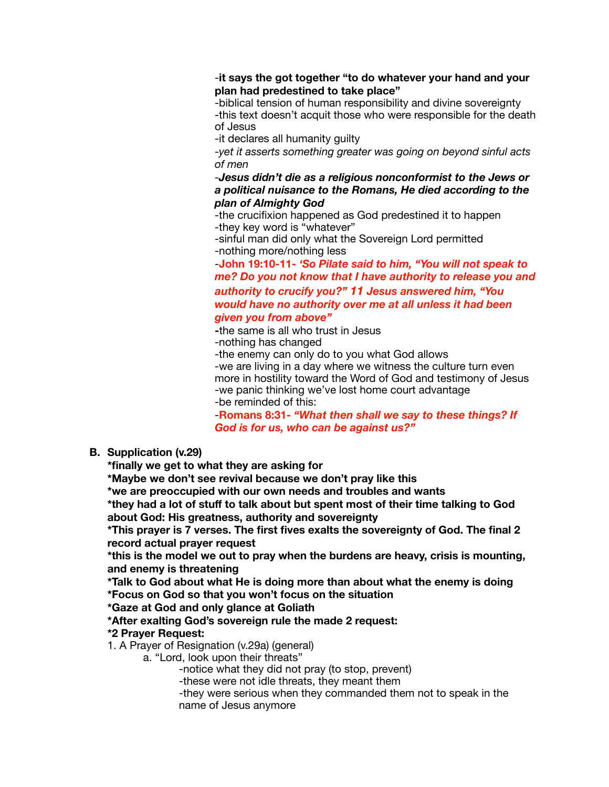### -**it says the got together "to do whatever your hand and your plan had predestined to take place"**

 -biblical tension of human responsibility and divine sovereignty -this text doesn't acquit those who were responsible for the death of Jesus

-it declares all humanity guilty

-*yet it asserts something greater was going on beyond sinful acts of men* 

 *-Jesus didn't die as a religious nonconformist to the Jews or a political nuisance to the Romans, He died according to the plan of Almighty God*

 -the crucifixion happened as God predestined it to happen -they key word is "whatever"

-sinful man did only what the Sovereign Lord permitted -nothing more/nothing less

 -**John 19:10-11-** *'So Pilate said to him, "You will not speak to me? Do you not know that I have authority to release you and authority to crucify you?" 11 Jesus answered him, "You would have no authority over me at all unless it had been given you from above"*

**-**the same is all who trust in Jesus

 -nothing has changed

-the enemy can only do to you what God allows

-we are living in a day where we witness the culture turn even more in hostility toward the Word of God and testimony of Jesus -we panic thinking we've lost home court advantage

-be reminded of this:

 -**Romans 8:31-** *"What then shall we say to these things? If God is for us, who can be against us?"*

**B. Supplication (v.29)** 

**\*finally we get to what they are asking for** 

**\*Maybe we don't see revival because we don't pray like this** 

**\*we are preoccupied with our own needs and troubles and wants** 

**\*they had a lot of stuff to talk about but spent most of their time talking to God about God: His greatness, authority and sovereignty** 

**\*This prayer is 7 verses. The first fives exalts the sovereignty of God. The final 2 record actual prayer request** 

**\*this is the model we out to pray when the burdens are heavy, crisis is mounting, and enemy is threatening** 

**\*Talk to God about what He is doing more than about what the enemy is doing \*Focus on God so that you won't focus on the situation** 

**\*Gaze at God and only glance at Goliath** 

**\*After exalting God's sovereign rule the made 2 request:** 

# **\*2 Prayer Request:**

1. A Prayer of Resignation (v.29a) (general)

 a. "Lord, look upon their threats"

 -notice what they did not pray (to stop, prevent)

 -these were not idle threats, they meant them

 -they were serious when they commanded them not to speak in the name of Jesus anymore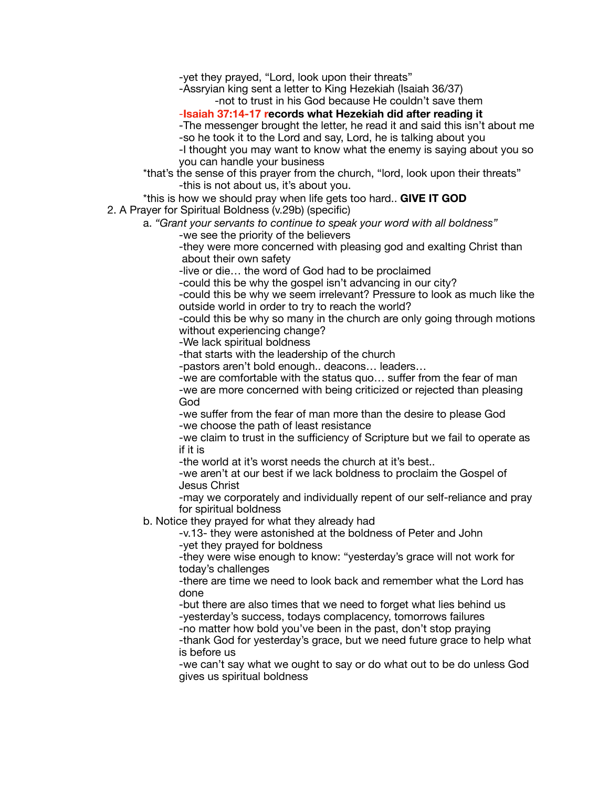-yet they prayed, "Lord, look upon their threats"

 -Assryian king sent a letter to King Hezekiah (Isaiah 36/37)

 -not to trust in his God because He couldn't save them

 -**Isaiah 37:14-17 records what Hezekiah did after reading it**

 -The messenger brought the letter, he read it and said this isn't about me -so he took it to the Lord and say, Lord, he is talking about you

 -I thought you may want to know what the enemy is saying about you so 

 you can handle your business

 \*that's the sense of this prayer from the church, "lord, look upon their threats" -this is not about us, it's about you.

 \*this is how we should pray when life gets too hard.. **GIVE IT GOD**

2. A Prayer for Spiritual Boldness (v.29b) (specific)

 a. *"Grant your servants to continue to speak your word with all boldness"*

 -we see the priority of the believers

 -they were more concerned with pleasing god and exalting Christ than about their own safety

 -live or die… the word of God had to be proclaimed

 -could this be why the gospel isn't advancing in our city?

 -could this be why we seem irrelevant? Pressure to look as much like the outside world in order to try to reach the world?

 -could this be why so many in the church are only going through motions without experiencing change?

 -We lack spiritual boldness

 -that starts with the leadership of the church

 -pastors aren't bold enough.. deacons… leaders…

 -we are comfortable with the status quo… suffer from the fear of man -we are more concerned with being criticized or rejected than pleasing God

 -we suffer from the fear of man more than the desire to please God -we choose the path of least resistance

 -we claim to trust in the sufficiency of Scripture but we fail to operate as if it is

 -the world at it's worst needs the church at it's best..

 -we aren't at our best if we lack boldness to proclaim the Gospel of Jesus Christ

 -may we corporately and individually repent of our self-reliance and pray for spiritual boldness

 b. Notice they prayed for what they already had

 -v.13- they were astonished at the boldness of Peter and John -yet they prayed for boldness

 -they were wise enough to know: "yesterday's grace will not work for today's challenges

 -there are time we need to look back and remember what the Lord has done

 -but there are also times that we need to forget what lies behind us -yesterday's success, todays complacency, tomorrows failures

 -no matter how bold you've been in the past, don't stop praying

 -thank God for yesterday's grace, but we need future grace to help what is before us

 -we can't say what we ought to say or do what out to be do unless God gives us spiritual boldness